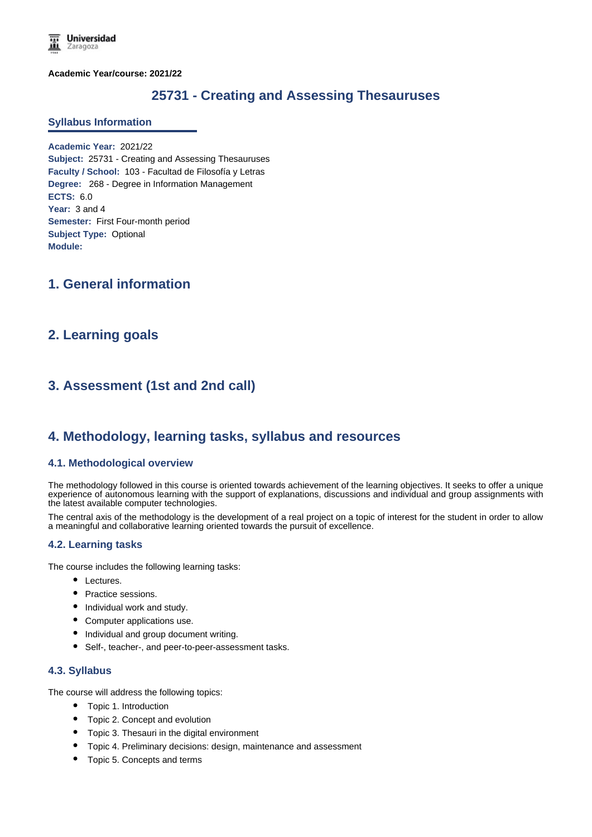**Academic Year/course: 2021/22**

# **25731 - Creating and Assessing Thesauruses**

#### **Syllabus Information**

**Academic Year:** 2021/22 **Subject:** 25731 - Creating and Assessing Thesauruses **Faculty / School:** 103 - Facultad de Filosofía y Letras **Degree:** 268 - Degree in Information Management **ECTS:** 6.0 **Year:** 3 and 4 **Semester:** First Four-month period **Subject Type:** Optional **Module:**

# **1. General information**

## **2. Learning goals**

# **3. Assessment (1st and 2nd call)**

## **4. Methodology, learning tasks, syllabus and resources**

#### **4.1. Methodological overview**

The methodology followed in this course is oriented towards achievement of the learning objectives. It seeks to offer a unique experience of autonomous learning with the support of explanations, discussions and individual and group assignments with the latest available computer technologies.

The central axis of the methodology is the development of a real project on a topic of interest for the student in order to allow a meaningful and collaborative learning oriented towards the pursuit of excellence.

## **4.2. Learning tasks**

The course includes the following learning tasks:

- Lectures.
- Practice sessions.
- Individual work and study.
- Computer applications use.
- Individual and group document writing.
- Self-, teacher-, and peer-to-peer-assessment tasks.

## **4.3. Syllabus**

The course will address the following topics:

- Topic 1. Introduction
- Topic 2. Concept and evolution
- Topic 3. Thesauri in the digital environment
- Topic 4. Preliminary decisions: design, maintenance and assessment
- Topic 5. Concepts and terms